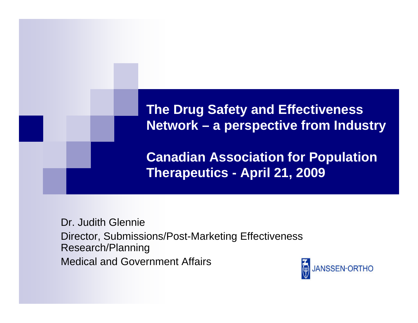#### **The Drug Safety and Effectiveness Network – a perspective from Industry**

**Canadian Association for Population Therapeutics - April 21, 2009** 

Dr. Judith Glennie Director, Submissions/Post-Marketing Effectiveness Research/Planning Medical and Government Affairs

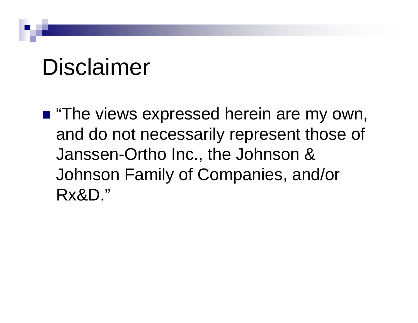### Disclaimer

**The views expressed herein are my own,** and do not necessarily represent those of Janssen-Ortho Inc., the Johnson & Johnson Family of Companies, and/or Rx&D."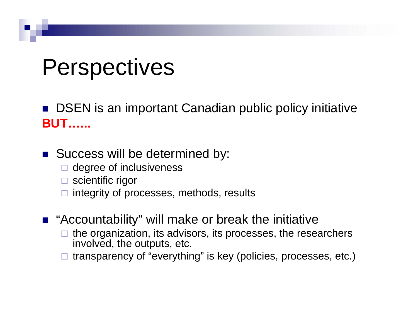### Perspectives

■ DSEN is an important Canadian public policy initiative **BUT…...**

- **Success will be determined by:** 
	- $\Box$  degree of inclusiveness
	- □ scientific rigor
	- $\Box$ integrity of processes, methods, results
- "Accountability" will make or break the initiative
	- $\Box$  the organization, its advisors, its processes, the researchers involved, the outputs, etc.
	- $\Box$ transparency of "everything" is key (policies, processes, etc.)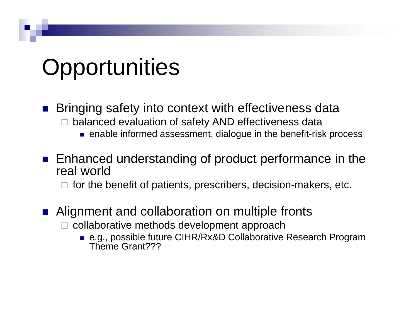## **Opportunities**

- **Bringing safety into context with effectiveness data**  $\Box$  balanced evaluation of safety AND effectiveness data
	- enable informed assessment, dialogue in the benefit-risk process
- **Enhanced understanding of product performance in the** real world
	- $\Box$  for the benefit of patients, prescribers, decision-makers, etc.
- Alignment and collaboration on multiple fronts
	- $\Box$  collaborative methods development approach
		- e.g., possible future CIHR/Rx&D Collaborative Research Program Theme Grant???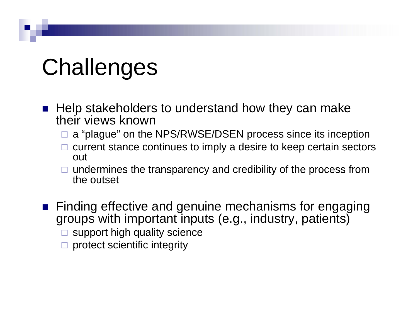# Challenges

- $\blacksquare$  Help stakeholders to understand how they can make their views known
	- □ a "plague" on the NPS/RWSE/DSEN process since its inception
	- $\Box$  current stance continues to imply a desire to keep certain sectors out
	- $\Box$  undermines the transparency and credibility of the process from the outset
- **Finding effective and genuine mechanisms for engaging** groups with important inputs (e.g., industry, patients)
	- $\square$  support high quality science
	- $\square$  protect scientific integrity